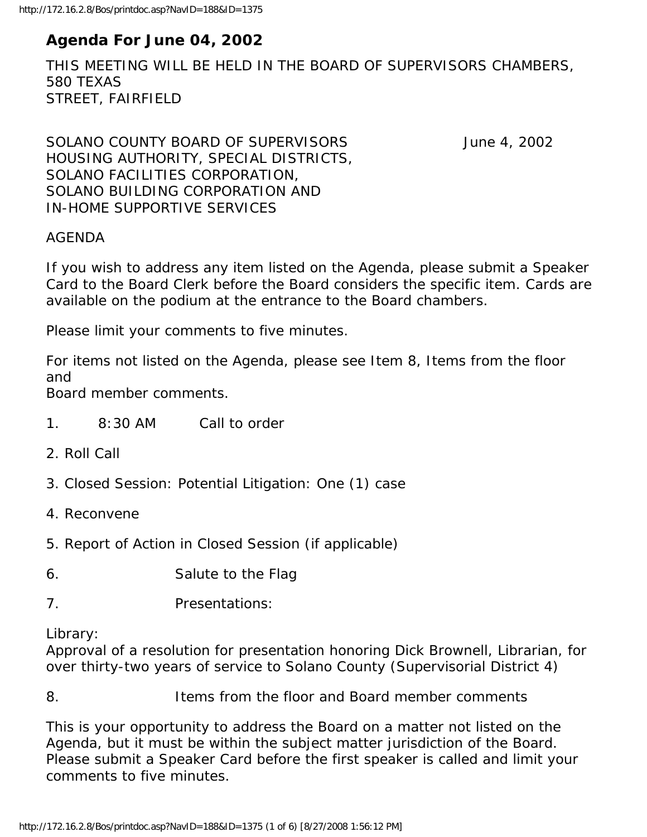# **Agenda For June 04, 2002**

THIS MEETING WILL BE HELD IN THE BOARD OF SUPERVISORS CHAMBERS, 580 TEXAS STREET, FAIRFIELD

SOLANO COUNTY BOARD OF SUPERVISORS June 4, 2002 HOUSING AUTHORITY, SPECIAL DISTRICTS, SOLANO FACILITIES CORPORATION, SOLANO BUILDING CORPORATION AND IN-HOME SUPPORTIVE SERVICES

#### AGENDA

If you wish to address any item listed on the Agenda, please submit a Speaker Card to the Board Clerk before the Board considers the specific item. Cards are available on the podium at the entrance to the Board chambers.

Please limit your comments to five minutes.

For items not listed on the Agenda, please see Item 8, Items from the floor and

Board member comments.

- 1. 8:30 AM Call to order
- 2. Roll Call
- 3. Closed Session: Potential Litigation: One (1) case
- 4. Reconvene
- 5. Report of Action in Closed Session (if applicable)
- 6. Salute to the Flag
- 7. Presentations:

Library:

Approval of a resolution for presentation honoring Dick Brownell, Librarian, for over thirty-two years of service to Solano County (Supervisorial District 4)

8. Items from the floor and Board member comments

This is your opportunity to address the Board on a matter not listed on the Agenda, but it must be within the subject matter jurisdiction of the Board. Please submit a Speaker Card before the first speaker is called and limit your comments to five minutes.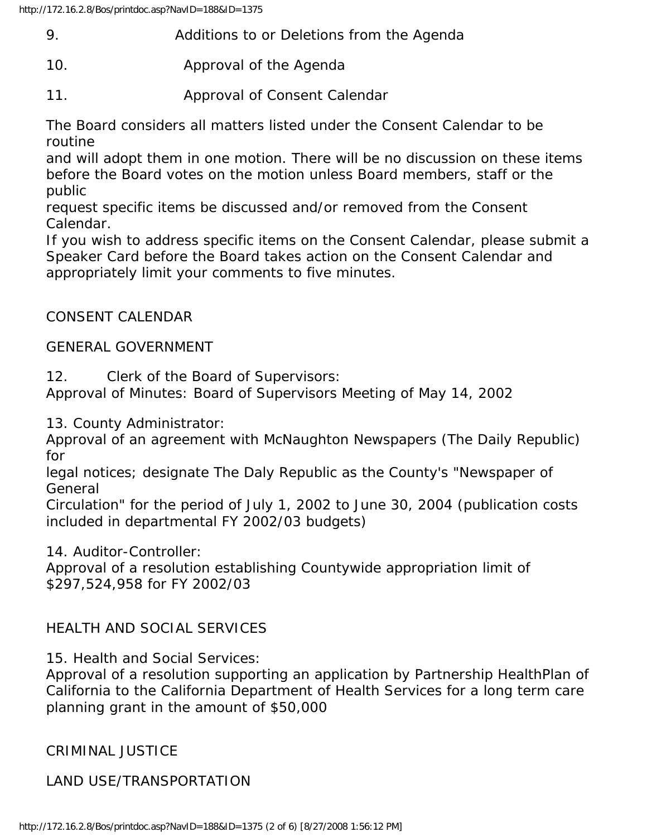|        | Additions to or Deletions from the Agenda                                                                                                                                                                                                                                                              |
|--------|--------------------------------------------------------------------------------------------------------------------------------------------------------------------------------------------------------------------------------------------------------------------------------------------------------|
| $\sim$ | $\mathbf{A}$ if the set of $\mathbf{A}$ if $\mathbf{A}$ if $\mathbf{A}$ if $\mathbf{A}$ if $\mathbf{A}$ if $\mathbf{A}$ if $\mathbf{A}$ if $\mathbf{A}$ if $\mathbf{A}$ if $\mathbf{A}$ if $\mathbf{A}$ if $\mathbf{A}$ if $\mathbf{A}$ if $\mathbf{A}$ if $\mathbf{A}$ if $\mathbf{A}$ if $\mathbf{A$ |

- 10. Approval of the Agenda
- 11. Approval of Consent Calendar

The Board considers all matters listed under the Consent Calendar to be routine

and will adopt them in one motion. There will be no discussion on these items before the Board votes on the motion unless Board members, staff or the public

request specific items be discussed and/or removed from the Consent Calendar.

If you wish to address specific items on the Consent Calendar, please submit a Speaker Card before the Board takes action on the Consent Calendar and appropriately limit your comments to five minutes.

## CONSENT CALENDAR

### GENERAL GOVERNMENT

12. Clerk of the Board of Supervisors:

Approval of Minutes: Board of Supervisors Meeting of May 14, 2002

13. County Administrator:

Approval of an agreement with McNaughton Newspapers (The Daily Republic) for

legal notices; designate The Daly Republic as the County's "Newspaper of General

Circulation" for the period of July 1, 2002 to June 30, 2004 (publication costs included in departmental FY 2002/03 budgets)

14. Auditor-Controller:

Approval of a resolution establishing Countywide appropriation limit of \$297,524,958 for FY 2002/03

### HEALTH AND SOCIAL SERVICES

15. Health and Social Services:

Approval of a resolution supporting an application by Partnership HealthPlan of California to the California Department of Health Services for a long term care planning grant in the amount of \$50,000

CRIMINAL JUSTICE

LAND USE/TRANSPORTATION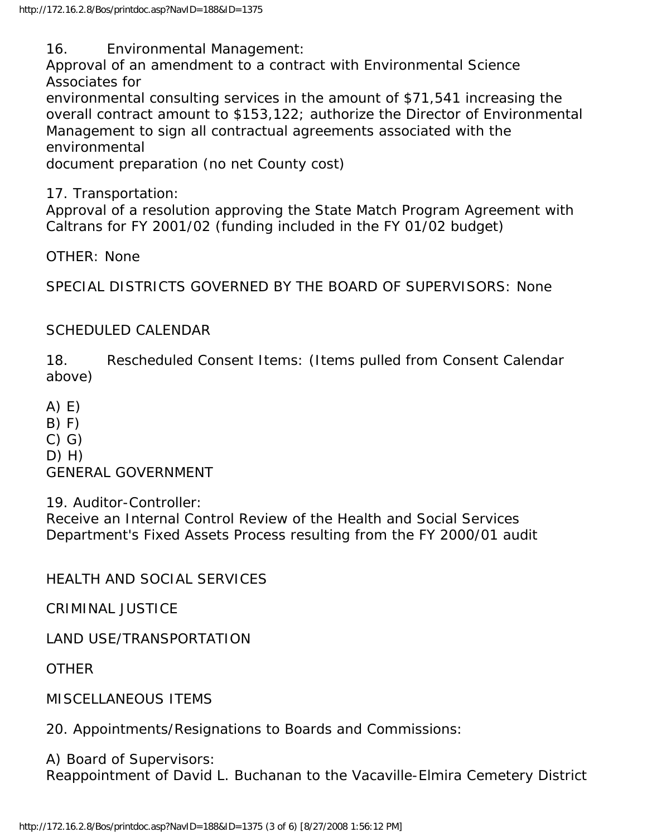16. Environmental Management:

Approval of an amendment to a contract with Environmental Science Associates for

environmental consulting services in the amount of \$71,541 increasing the overall contract amount to \$153,122; authorize the Director of Environmental Management to sign all contractual agreements associated with the environmental

document preparation (no net County cost)

17. Transportation:

Approval of a resolution approving the State Match Program Agreement with Caltrans for FY 2001/02 (funding included in the FY 01/02 budget)

OTHER: None

SPECIAL DISTRICTS GOVERNED BY THE BOARD OF SUPERVISORS: None

### SCHEDULED CALENDAR

18. Rescheduled Consent Items: (Items pulled from Consent Calendar above)

A) E)

 $B) F)$ 

C) G)

 $D)$  H)

GENERAL GOVERNMENT

19. Auditor-Controller:

Receive an Internal Control Review of the Health and Social Services Department's Fixed Assets Process resulting from the FY 2000/01 audit

HEALTH AND SOCIAL SERVICES

CRIMINAL JUSTICE

LAND USE/TRANSPORTATION

**OTHER** 

MISCELLANEOUS ITEMS

20. Appointments/Resignations to Boards and Commissions:

A) Board of Supervisors:

Reappointment of David L. Buchanan to the Vacaville-Elmira Cemetery District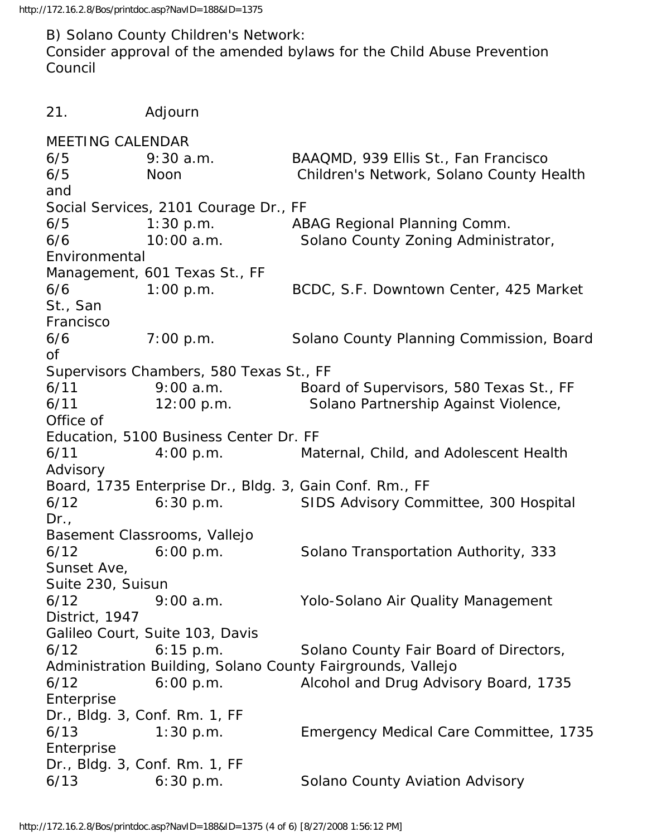http://172.16.2.8/Bos/printdoc.asp?NavID=188&ID=1375

B) Solano County Children's Network: Consider approval of the amended bylaws for the Child Abuse Prevention Council

21. Adjourn MEETING CALENDAR 6/5 9:30 a.m. BAAQMD, 939 Ellis St., Fan Francisco 6/5 Noon Children's Network, Solano County Health and Social Services, 2101 Courage Dr., FF 6/5 1:30 p.m. ABAG Regional Planning Comm. 6/6 10:00 a.m. Solano County Zoning Administrator, Environmental Management, 601 Texas St., FF 6/6 1:00 p.m. BCDC, S.F. Downtown Center, 425 Market St., San Francisco 6/6 7:00 p.m. Solano County Planning Commission, Board of Supervisors Chambers, 580 Texas St., FF 6/11 9:00 a.m. Board of Supervisors, 580 Texas St., FF 6/11 12:00 p.m. Solano Partnership Against Violence, Office of Education, 5100 Business Center Dr. FF 6/11 4:00 p.m. Maternal, Child, and Adolescent Health Advisory Board, 1735 Enterprise Dr., Bldg. 3, Gain Conf. Rm., FF 6/12 6:30 p.m. SIDS Advisory Committee, 300 Hospital Dr., Basement Classrooms, Vallejo 6/12 6:00 p.m. Solano Transportation Authority, 333 Sunset Ave, Suite 230, Suisun 6/12 9:00 a.m. Yolo-Solano Air Quality Management District, 1947 Galileo Court, Suite 103, Davis 6/12 6:15 p.m. Solano County Fair Board of Directors, Administration Building, Solano County Fairgrounds, Vallejo 6/12 6:00 p.m. Alcohol and Drug Advisory Board, 1735 Enterprise Dr., Bldg. 3, Conf. Rm. 1, FF 6/13 1:30 p.m. Emergency Medical Care Committee, 1735 Enterprise Dr., Bldg. 3, Conf. Rm. 1, FF 6/13 6:30 p.m. Solano County Aviation Advisory